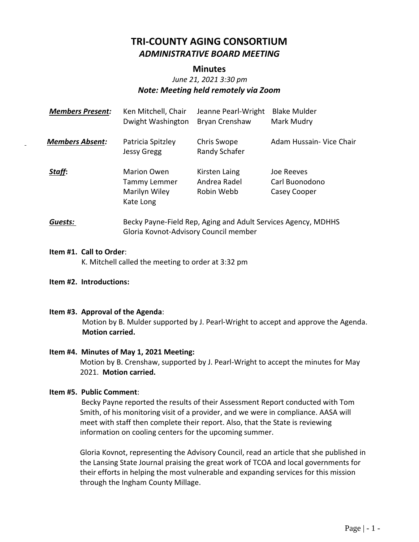# **TRI-COUNTY AGING CONSORTIUM** *ADMINISTRATIVE BOARD MEETING*

#### **Minutes**

# *June 21, 2021 3:30 pm Note: Meeting held remotely via Zoom*

| <b>Members Present:</b> | Ken Mitchell, Chair<br>Dwight Washington                         | Jeanne Pearl-Wright<br>Bryan Crenshaw       | <b>Blake Mulder</b><br>Mark Mudry            |
|-------------------------|------------------------------------------------------------------|---------------------------------------------|----------------------------------------------|
| <b>Members Absent:</b>  | Patricia Spitzley<br>Jessy Gregg                                 | Chris Swope<br>Randy Schafer                | Adam Hussain- Vice Chair                     |
| Staff:                  | <b>Marion Owen</b><br>Tammy Lemmer<br>Marilyn Wiley<br>Kate Long | Kirsten Laing<br>Andrea Radel<br>Robin Webb | Joe Reeves<br>Carl Buonodono<br>Casey Cooper |
| Guests:                 | Becky Payne-Field Rep, Aging and Adult Services Agency, MDHHS    |                                             |                                              |

Gloria Kovnot-Advisory Council member

#### **Item #1. Call to Order**:

K. Mitchell called the meeting to order at 3:32 pm

#### **Item #2. Introductions:**

**Item #3. Approval of the Agenda**:

Motion by B. Mulder supported by J. Pearl-Wright to accept and approve the Agenda. **Motion carried.**

#### **Item #4. Minutes of May 1, 2021 Meeting:**

Motion by B. Crenshaw, supported by J. Pearl-Wright to accept the minutes for May 2021. **Motion carried.**

#### **Item #5. Public Comment**:

 Becky Payne reported the results of their Assessment Report conducted with Tom Smith, of his monitoring visit of a provider, and we were in compliance. AASA will meet with staff then complete their report. Also, that the State is reviewing information on cooling centers for the upcoming summer.

Gloria Kovnot, representing the Advisory Council, read an article that she published in the Lansing State Journal praising the great work of TCOA and local governments for their efforts in helping the most vulnerable and expanding services for this mission through the Ingham County Millage.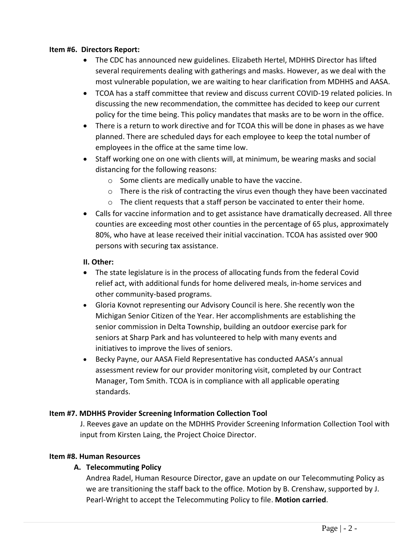#### **Item #6. Directors Report:**

- The CDC has announced new guidelines. Elizabeth Hertel, MDHHS Director has lifted several requirements dealing with gatherings and masks. However, as we deal with the most vulnerable population, we are waiting to hear clarification from MDHHS and AASA.
- TCOA has a staff committee that review and discuss current COVID-19 related policies. In discussing the new recommendation, the committee has decided to keep our current policy for the time being. This policy mandates that masks are to be worn in the office.
- There is a return to work directive and for TCOA this will be done in phases as we have planned. There are scheduled days for each employee to keep the total number of employees in the office at the same time low.
- Staff working one on one with clients will, at minimum, be wearing masks and social distancing for the following reasons:
	- o Some clients are medically unable to have the vaccine.
	- o There is the risk of contracting the virus even though they have been vaccinated
	- $\circ$  The client requests that a staff person be vaccinated to enter their home.
- Calls for vaccine information and to get assistance have dramatically decreased. All three counties are exceeding most other counties in the percentage of 65 plus, approximately 80%, who have at lease received their initial vaccination. TCOA has assisted over 900 persons with securing tax assistance.

## **II. Other:**

- The state legislature is in the process of allocating funds from the federal Covid relief act, with additional funds for home delivered meals, in-home services and other community-based programs.
- Gloria Kovnot representing our Advisory Council is here. She recently won the Michigan Senior Citizen of the Year. Her accomplishments are establishing the senior commission in Delta Township, building an outdoor exercise park for seniors at Sharp Park and has volunteered to help with many events and initiatives to improve the lives of seniors.
- Becky Payne, our AASA Field Representative has conducted AASA's annual assessment review for our provider monitoring visit, completed by our Contract Manager, Tom Smith. TCOA is in compliance with all applicable operating standards.

# **Item #7. MDHHS Provider Screening Information Collection Tool**

J. Reeves gave an update on the MDHHS Provider Screening Information Collection Tool with input from Kirsten Laing, the Project Choice Director.

# **Item #8. Human Resources**

# **A. Telecommuting Policy**

Andrea Radel, Human Resource Director, gave an update on our Telecommuting Policy as we are transitioning the staff back to the office. Motion by B. Crenshaw, supported by J. Pearl-Wright to accept the Telecommuting Policy to file. **Motion carried**.